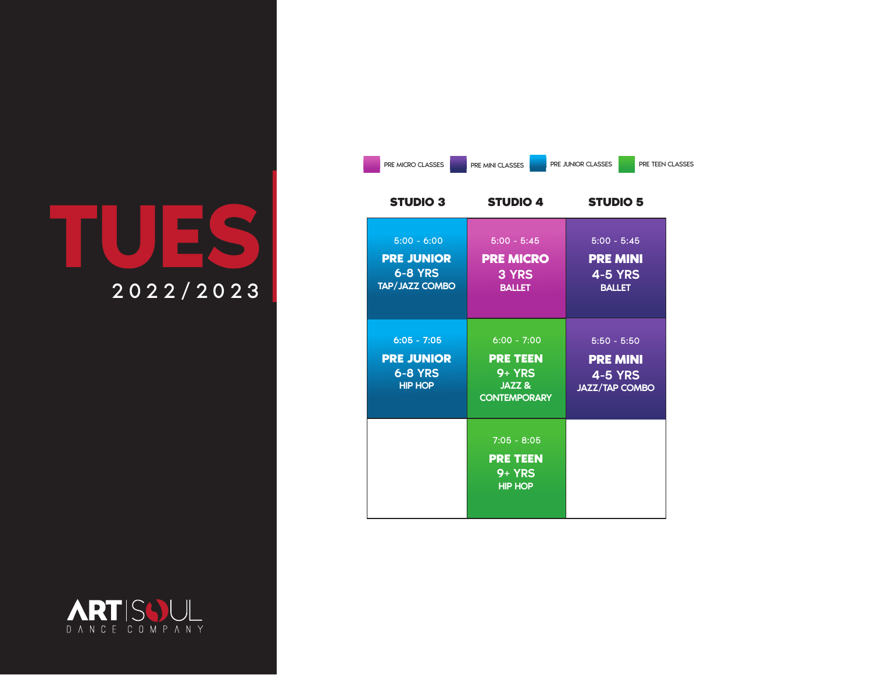## **TUES** 2022/2023

| PRE MICRO CLASSES                                                             | PRE MINI CLASSES                                                             | PRE TEEN CLASSES<br>PRE JUNIOR CLASSES                                      |
|-------------------------------------------------------------------------------|------------------------------------------------------------------------------|-----------------------------------------------------------------------------|
| <b>STUDIO 3</b>                                                               | <b>STUDIO 4</b>                                                              | <b>STUDIO 5</b>                                                             |
| $5:00 - 6:00$<br><b>PRE JUNIOR</b><br><b>6-8 YRS</b><br><b>TAP/JAZZ COMBO</b> | $5:00 - 5:45$<br><b>PRE MICRO</b><br>3 YRS<br><b>BALLET</b>                  | $5:00 - 5:45$<br><b>PRE MINI</b><br><b>4-5 YRS</b><br><b>BALLET</b>         |
| $6:05 - 7:05$<br><b>PRE JUNIOR</b><br><b>6-8 YRS</b><br><b>HIP HOP</b>        | $6:00 - 7:00$<br><b>PRE TEEN</b><br>$9+YRS$<br>JAZZ &<br><b>CONTEMPORARY</b> | $5:50 - 5:50$<br><b>PRE MINI</b><br><b>4-5 YRS</b><br><b>JAZZ/TAP COMBO</b> |
|                                                                               | $7:05 - 8:05$<br><b>PRE TEEN</b><br>$9+YRS$<br><b>HIP HOP</b>                |                                                                             |